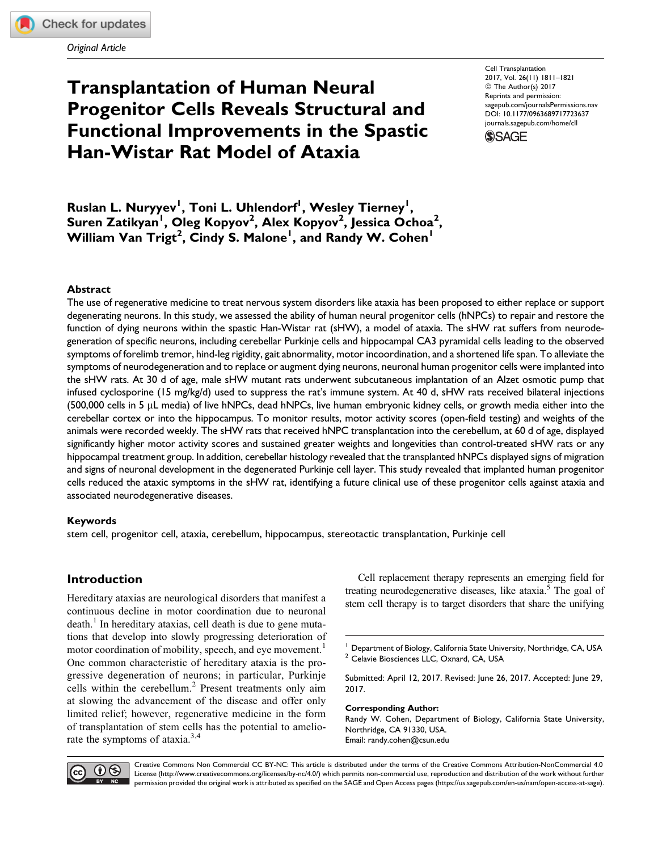Original Article

# Transplantation of Human Neural Progenitor Cells Reveals Structural and Functional Improvements in the Spastic Han-Wistar Rat Model of Ataxia

Cell Transplantation 2017, Vol. 26(11) 1811–1821 © The Author(s) 2017 Reprints and permission: [sagepub.com/journalsPermissions.nav](https://us.sagepub.com/en-us/journals-permissions) [DOI: 10.1177/0963689717723637](https://doi.org/10.1177/0963689717723637) [journals.sagepub.com/home/cll](http://journals.sagepub.com/home/cll)



Ruslan L. Nuryyev<sup>l</sup>, Toni L. Uhlendorf<sup>l</sup>, Wesley Tierney<sup>l</sup>, Suren Zatikyan<sup>i</sup>, Oleg Kopyov<sup>2</sup>, Alex Kopyov<sup>2</sup>, Jessica Ochoa<sup>2</sup>, William Van Trigt<sup>2</sup>, Cindy S. Malone<sup>1</sup>, and Randy W. Cohen<sup>1</sup>

### Abstract

The use of regenerative medicine to treat nervous system disorders like ataxia has been proposed to either replace or support degenerating neurons. In this study, we assessed the ability of human neural progenitor cells (hNPCs) to repair and restore the function of dying neurons within the spastic Han-Wistar rat (sHW), a model of ataxia. The sHW rat suffers from neurodegeneration of specific neurons, including cerebellar Purkinje cells and hippocampal CA3 pyramidal cells leading to the observed symptoms of forelimb tremor, hind-leg rigidity, gait abnormality, motor incoordination, and a shortened life span. To alleviate the symptoms of neurodegeneration and to replace or augment dying neurons, neuronal human progenitor cells were implanted into the sHW rats. At 30 d of age, male sHW mutant rats underwent subcutaneous implantation of an Alzet osmotic pump that infused cyclosporine (15 mg/kg/d) used to suppress the rat's immune system. At 40 d, sHW rats received bilateral injections (500,000 cells in 5  $\mu$ L media) of live hNPCs, dead hNPCs, live human embryonic kidney cells, or growth media either into the cerebellar cortex or into the hippocampus. To monitor results, motor activity scores (open-field testing) and weights of the animals were recorded weekly. The sHW rats that received hNPC transplantation into the cerebellum, at 60 d of age, displayed significantly higher motor activity scores and sustained greater weights and longevities than control-treated sHW rats or any hippocampal treatment group. In addition, cerebellar histology revealed that the transplanted hNPCs displayed signs of migration and signs of neuronal development in the degenerated Purkinje cell layer. This study revealed that implanted human progenitor cells reduced the ataxic symptoms in the sHW rat, identifying a future clinical use of these progenitor cells against ataxia and associated neurodegenerative diseases.

### Keywords

stem cell, progenitor cell, ataxia, cerebellum, hippocampus, stereotactic transplantation, Purkinje cell

# Introduction

Hereditary ataxias are neurological disorders that manifest a continuous decline in motor coordination due to neuronal death.<sup>1</sup> In hereditary ataxias, cell death is due to gene mutations that develop into slowly progressing deterioration of motor coordination of mobility, speech, and eye movement.<sup>1</sup> One common characteristic of hereditary ataxia is the progressive degeneration of neurons; in particular, Purkinje cells within the cerebellum.<sup>2</sup> Present treatments only aim at slowing the advancement of the disease and offer only limited relief; however, regenerative medicine in the form of transplantation of stem cells has the potential to ameliorate the symptoms of ataxia.<sup>3,4</sup>

Cell replacement therapy represents an emerging field for treating neurodegenerative diseases, like ataxia.<sup>5</sup> The goal of stem cell therapy is to target disorders that share the unifying

Submitted: April 12, 2017. Revised: June 26, 2017. Accepted: June 29, 2017.

Corresponding Author: Randy W. Cohen, Department of Biology, California State University, Northridge, CA 91330, USA.

Email: randy.cohen@csun.edu



Creative Commons Non Commercial CC BY-NC: This article is distributed under the terms of the Creative Commons Attribution-NonCommercial 4.0 License (http://www.creativecommons.org/licenses/by-nc/4.0/) which permits non-commercial use, reproduction and distribution of the work without further permission provided the original work is attributed as specified on the SAGE and Open Access pages (https://us.sagepub.com/en-us/nam/open-access-at-sage).

<sup>&</sup>lt;sup>1</sup> Department of Biology, California State University, Northridge, CA, USA <sup>2</sup> Celavie Biosciences LLC, Oxnard, CA, USA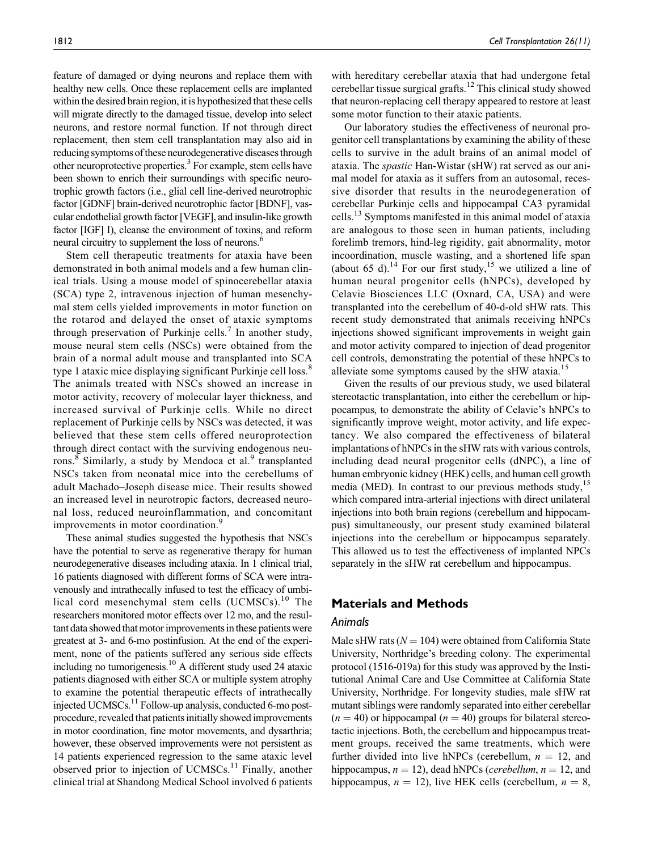feature of damaged or dying neurons and replace them with healthy new cells. Once these replacement cells are implanted within the desired brain region, it is hypothesized that these cells will migrate directly to the damaged tissue, develop into select neurons, and restore normal function. If not through direct replacement, then stem cell transplantation may also aid in reducing symptoms of these neurodegenerative diseases through other neuroprotective properties.<sup>3</sup> For example, stem cells have been shown to enrich their surroundings with specific neurotrophic growth factors (i.e., glial cell line-derived neurotrophic factor [GDNF] brain-derived neurotrophic factor [BDNF], vascular endothelial growth factor [VEGF], and insulin-like growth factor [IGF] I), cleanse the environment of toxins, and reform neural circuitry to supplement the loss of neurons.<sup>6</sup>

Stem cell therapeutic treatments for ataxia have been demonstrated in both animal models and a few human clinical trials. Using a mouse model of spinocerebellar ataxia (SCA) type 2, intravenous injection of human mesenchymal stem cells yielded improvements in motor function on the rotarod and delayed the onset of ataxic symptoms through preservation of Purkinje cells.<sup>7</sup> In another study, mouse neural stem cells (NSCs) were obtained from the brain of a normal adult mouse and transplanted into SCA type 1 ataxic mice displaying significant Purkinje cell loss.<sup>8</sup> The animals treated with NSCs showed an increase in motor activity, recovery of molecular layer thickness, and increased survival of Purkinje cells. While no direct replacement of Purkinje cells by NSCs was detected, it was believed that these stem cells offered neuroprotection through direct contact with the surviving endogenous neurons.<sup>8</sup> Similarly, a study by Mendoca et al.<sup>9</sup> transplanted NSCs taken from neonatal mice into the cerebellums of adult Machado–Joseph disease mice. Their results showed an increased level in neurotropic factors, decreased neuronal loss, reduced neuroinflammation, and concomitant improvements in motor coordination.<sup>9</sup>

These animal studies suggested the hypothesis that NSCs have the potential to serve as regenerative therapy for human neurodegenerative diseases including ataxia. In 1 clinical trial, 16 patients diagnosed with different forms of SCA were intravenously and intrathecally infused to test the efficacy of umbilical cord mesenchymal stem cells (UCMSCs).<sup>10</sup> The researchers monitored motor effects over 12 mo, and the resultant data showed that motor improvements in these patients were greatest at 3- and 6-mo postinfusion. At the end of the experiment, none of the patients suffered any serious side effects including no tumorigenesis.<sup>10</sup> A different study used 24 ataxic patients diagnosed with either SCA or multiple system atrophy to examine the potential therapeutic effects of intrathecally injected UCMSCs.<sup>11</sup> Follow-up analysis, conducted 6-mo postprocedure, revealed that patients initially showed improvements in motor coordination, fine motor movements, and dysarthria; however, these observed improvements were not persistent as 14 patients experienced regression to the same ataxic level observed prior to injection of  $UCMSCs<sup>11</sup>$  Finally, another clinical trial at Shandong Medical School involved 6 patients with hereditary cerebellar ataxia that had undergone fetal cerebellar tissue surgical grafts.<sup>12</sup> This clinical study showed that neuron-replacing cell therapy appeared to restore at least some motor function to their ataxic patients.

Our laboratory studies the effectiveness of neuronal progenitor cell transplantations by examining the ability of these cells to survive in the adult brains of an animal model of ataxia. The spastic Han-Wistar (sHW) rat served as our animal model for ataxia as it suffers from an autosomal, recessive disorder that results in the neurodegeneration of cerebellar Purkinje cells and hippocampal CA3 pyramidal cells.<sup>13</sup> Symptoms manifested in this animal model of ataxia are analogous to those seen in human patients, including forelimb tremors, hind-leg rigidity, gait abnormality, motor incoordination, muscle wasting, and a shortened life span (about 65 d).<sup>14</sup> For our first study,<sup>15</sup> we utilized a line of human neural progenitor cells (hNPCs), developed by Celavie Biosciences LLC (Oxnard, CA, USA) and were transplanted into the cerebellum of 40-d-old sHW rats. This recent study demonstrated that animals receiving hNPCs injections showed significant improvements in weight gain and motor activity compared to injection of dead progenitor cell controls, demonstrating the potential of these hNPCs to alleviate some symptoms caused by the sHW ataxia.<sup>15</sup>

Given the results of our previous study, we used bilateral stereotactic transplantation, into either the cerebellum or hippocampus, to demonstrate the ability of Celavie's hNPCs to significantly improve weight, motor activity, and life expectancy. We also compared the effectiveness of bilateral implantations of hNPCs in the sHW rats with various controls, including dead neural progenitor cells (dNPC), a line of human embryonic kidney (HEK) cells, and human cell growth media (MED). In contrast to our previous methods study,<sup>15</sup> which compared intra-arterial injections with direct unilateral injections into both brain regions (cerebellum and hippocampus) simultaneously, our present study examined bilateral injections into the cerebellum or hippocampus separately. This allowed us to test the effectiveness of implanted NPCs separately in the sHW rat cerebellum and hippocampus.

### Materials and Methods

### Animals

Male sHW rats ( $N = 104$ ) were obtained from California State University, Northridge's breeding colony. The experimental protocol (1516-019a) for this study was approved by the Institutional Animal Care and Use Committee at California State University, Northridge. For longevity studies, male sHW rat mutant siblings were randomly separated into either cerebellar  $(n = 40)$  or hippocampal  $(n = 40)$  groups for bilateral stereotactic injections. Both, the cerebellum and hippocampus treatment groups, received the same treatments, which were further divided into live hNPCs (cerebellum,  $n = 12$ , and hippocampus,  $n = 12$ ), dead hNPCs (*cerebellum*,  $n = 12$ , and hippocampus,  $n = 12$ ), live HEK cells (cerebellum,  $n = 8$ ,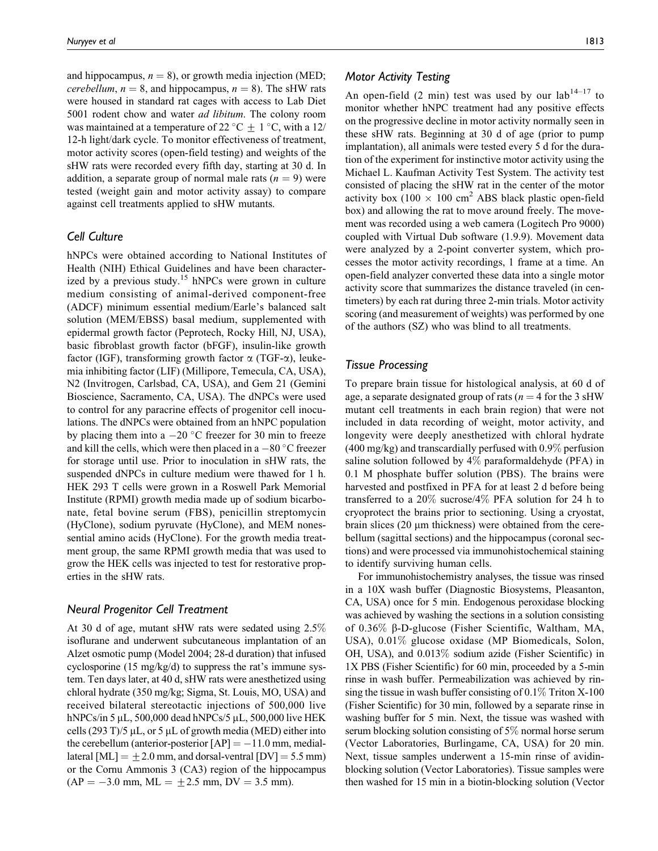and hippocampus,  $n = 8$ ), or growth media injection (MED; *cerebellum, n* = 8, and hippocampus, *n* = 8). The sHW rats were housed in standard rat cages with access to Lab Diet 5001 rodent chow and water *ad libitum*. The colony room was maintained at a temperature of 22 °C  $\pm$  1 °C, with a 12/ 12-h light/dark cycle. To monitor effectiveness of treatment, motor activity scores (open-field testing) and weights of the sHW rats were recorded every fifth day, starting at 30 d. In addition, a separate group of normal male rats  $(n = 9)$  were tested (weight gain and motor activity assay) to compare against cell treatments applied to sHW mutants.

# Cell Culture

hNPCs were obtained according to National Institutes of Health (NIH) Ethical Guidelines and have been characterized by a previous study.<sup>15</sup> hNPCs were grown in culture medium consisting of animal-derived component-free (ADCF) minimum essential medium/Earle's balanced salt solution (MEM/EBSS) basal medium, supplemented with epidermal growth factor (Peprotech, Rocky Hill, NJ, USA), basic fibroblast growth factor (bFGF), insulin-like growth factor (IGF), transforming growth factor  $\alpha$  (TGF- $\alpha$ ), leukemia inhibiting factor (LIF) (Millipore, Temecula, CA, USA), N2 (Invitrogen, Carlsbad, CA, USA), and Gem 21 (Gemini Bioscience, Sacramento, CA, USA). The dNPCs were used to control for any paracrine effects of progenitor cell inoculations. The dNPCs were obtained from an hNPC population by placing them into a  $-20$  °C freezer for 30 min to freeze and kill the cells, which were then placed in a  $-80^{\circ}$ C freezer for storage until use. Prior to inoculation in sHW rats, the suspended dNPCs in culture medium were thawed for 1 h. HEK 293 T cells were grown in a Roswell Park Memorial Institute (RPMI) growth media made up of sodium bicarbonate, fetal bovine serum (FBS), penicillin streptomycin (HyClone), sodium pyruvate (HyClone), and MEM nonessential amino acids (HyClone). For the growth media treatment group, the same RPMI growth media that was used to grow the HEK cells was injected to test for restorative properties in the sHW rats.

### Neural Progenitor Cell Treatment

At 30 d of age, mutant sHW rats were sedated using 2.5% isoflurane and underwent subcutaneous implantation of an Alzet osmotic pump (Model 2004; 28-d duration) that infused cyclosporine (15 mg/kg/d) to suppress the rat's immune system. Ten days later, at 40 d, sHW rats were anesthetized using chloral hydrate (350 mg/kg; Sigma, St. Louis, MO, USA) and received bilateral stereotactic injections of 500,000 live hNPCs/in 5  $\mu$ L, 500,000 dead hNPCs/5  $\mu$ L, 500,000 live HEK cells (293 T)/5  $\mu$ L, or 5  $\mu$ L of growth media (MED) either into the cerebellum (anterior-posterior  $[AP] = -11.0$  mm, mediallateral  $[ML] = \pm 2.0$  mm, and dorsal-ventral  $[DV] = 5.5$  mm) or the Cornu Ammonis 3 (CA3) region of the hippocampus  $(AP = -3.0$  mm,  $ML = +2.5$  mm,  $DV = 3.5$  mm).

# Motor Activity Testing

An open-field  $(2 \text{ min})$  test was used by our lab<sup>14–17</sup> to monitor whether hNPC treatment had any positive effects on the progressive decline in motor activity normally seen in these sHW rats. Beginning at 30 d of age (prior to pump implantation), all animals were tested every 5 d for the duration of the experiment for instinctive motor activity using the Michael L. Kaufman Activity Test System. The activity test consisted of placing the sHW rat in the center of the motor activity box (100  $\times$  100 cm<sup>2</sup> ABS black plastic open-field box) and allowing the rat to move around freely. The movement was recorded using a web camera (Logitech Pro 9000) coupled with Virtual Dub software (1.9.9). Movement data were analyzed by a 2-point converter system, which processes the motor activity recordings, 1 frame at a time. An open-field analyzer converted these data into a single motor activity score that summarizes the distance traveled (in centimeters) by each rat during three 2-min trials. Motor activity scoring (and measurement of weights) was performed by one of the authors (SZ) who was blind to all treatments.

### Tissue Processing

To prepare brain tissue for histological analysis, at 60 d of age, a separate designated group of rats ( $n = 4$  for the 3 sHW mutant cell treatments in each brain region) that were not included in data recording of weight, motor activity, and longevity were deeply anesthetized with chloral hydrate  $(400 \text{ mg/kg})$  and transcardially perfused with  $0.9\%$  perfusion saline solution followed by 4% paraformaldehyde (PFA) in 0.1 M phosphate buffer solution (PBS). The brains were harvested and postfixed in PFA for at least 2 d before being transferred to a 20% sucrose/4% PFA solution for 24 h to cryoprotect the brains prior to sectioning. Using a cryostat, brain slices  $(20 \mu m)$  thickness) were obtained from the cerebellum (sagittal sections) and the hippocampus (coronal sections) and were processed via immunohistochemical staining to identify surviving human cells.

For immunohistochemistry analyses, the tissue was rinsed in a 10X wash buffer (Diagnostic Biosystems, Pleasanton, CA, USA) once for 5 min. Endogenous peroxidase blocking was achieved by washing the sections in a solution consisting of 0.36% b-D-glucose (Fisher Scientific, Waltham, MA, USA), 0.01% glucose oxidase (MP Biomedicals, Solon, OH, USA), and 0.013% sodium azide (Fisher Scientific) in 1X PBS (Fisher Scientific) for 60 min, proceeded by a 5-min rinse in wash buffer. Permeabilization was achieved by rinsing the tissue in wash buffer consisting of  $0.1\%$  Triton X-100 (Fisher Scientific) for 30 min, followed by a separate rinse in washing buffer for 5 min. Next, the tissue was washed with serum blocking solution consisting of 5% normal horse serum (Vector Laboratories, Burlingame, CA, USA) for 20 min. Next, tissue samples underwent a 15-min rinse of avidinblocking solution (Vector Laboratories). Tissue samples were then washed for 15 min in a biotin-blocking solution (Vector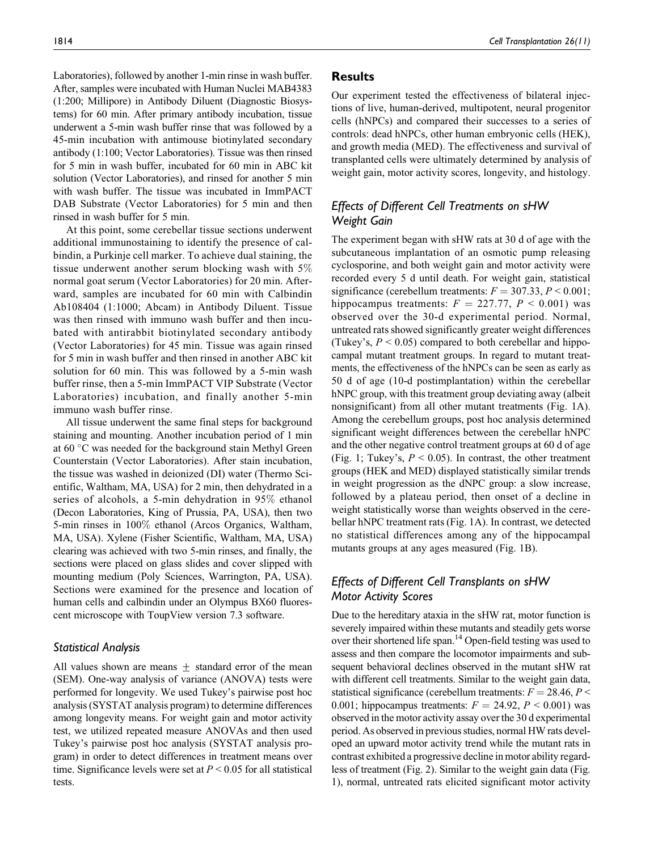Laboratories), followed by another 1-min rinse in wash buffer. After, samples were incubated with Human Nuclei MAB4383 (1:200; Millipore) in Antibody Diluent (Diagnostic Biosystems) for 60 min. After primary antibody incubation, tissue underwent a 5-min wash buffer rinse that was followed by a 45-min incubation with antimouse biotinylated secondary antibody (1:100; Vector Laboratories). Tissue was then rinsed for 5 min in wash buffer, incubated for 60 min in ABC kit solution (Vector Laboratories), and rinsed for another 5 min with wash buffer. The tissue was incubated in ImmPACT DAB Substrate (Vector Laboratories) for 5 min and then rinsed in wash buffer for 5 min.

At this point, some cerebellar tissue sections underwent additional immunostaining to identify the presence of calbindin, a Purkinje cell marker. To achieve dual staining, the tissue underwent another serum blocking wash with 5% normal goat serum (Vector Laboratories) for 20 min. Afterward, samples are incubated for 60 min with Calbindin Ab108404 (1:1000; Abcam) in Antibody Diluent. Tissue was then rinsed with immuno wash buffer and then incubated with antirabbit biotinylated secondary antibody (Vector Laboratories) for 45 min. Tissue was again rinsed for 5 min in wash buffer and then rinsed in another ABC kit solution for 60 min. This was followed by a 5-min wash buffer rinse, then a 5-min ImmPACT VIP Substrate (Vector Laboratories) incubation, and finally another 5-min immuno wash buffer rinse.

All tissue underwent the same final steps for background staining and mounting. Another incubation period of 1 min at 60 °C was needed for the background stain Methyl Green Counterstain (Vector Laboratories). After stain incubation, the tissue was washed in deionized (DI) water (Thermo Scientific, Waltham, MA, USA) for 2 min, then dehydrated in a series of alcohols, a 5-min dehydration in 95% ethanol (Decon Laboratories, King of Prussia, PA, USA), then two 5-min rinses in 100% ethanol (Arcos Organics, Waltham, MA, USA). Xylene (Fisher Scientific, Waltham, MA, USA) clearing was achieved with two 5-min rinses, and finally, the sections were placed on glass slides and cover slipped with mounting medium (Poly Sciences, Warrington, PA, USA). Sections were examined for the presence and location of human cells and calbindin under an Olympus BX60 fluorescent microscope with ToupView version 7.3 software.

# Statistical Analysis

All values shown are means  $\pm$  standard error of the mean (SEM). One-way analysis of variance (ANOVA) tests were performed for longevity. We used Tukey's pairwise post hoc analysis (SYSTAT analysis program) to determine differences among longevity means. For weight gain and motor activity test, we utilized repeated measure ANOVAs and then used Tukey's pairwise post hoc analysis (SYSTAT analysis program) in order to detect differences in treatment means over time. Significance levels were set at  $P \leq 0.05$  for all statistical tests.

### Results

Our experiment tested the effectiveness of bilateral injections of live, human-derived, multipotent, neural progenitor cells (hNPCs) and compared their successes to a series of controls: dead hNPCs, other human embryonic cells (HEK), and growth media (MED). The effectiveness and survival of transplanted cells were ultimately determined by analysis of weight gain, motor activity scores, longevity, and histology.

# Effects of Different Cell Treatments on sHW Weight Gain

The experiment began with sHW rats at 30 d of age with the subcutaneous implantation of an osmotic pump releasing cyclosporine, and both weight gain and motor activity were recorded every 5 d until death. For weight gain, statistical significance (cerebellum treatments:  $F = 307.33$ ,  $P \le 0.001$ ; hippocampus treatments:  $F = 227.77$ ,  $P < 0.001$ ) was observed over the 30-d experimental period. Normal, untreated rats showed significantly greater weight differences (Tukey's,  $P \le 0.05$ ) compared to both cerebellar and hippocampal mutant treatment groups. In regard to mutant treatments, the effectiveness of the hNPCs can be seen as early as 50 d of age (10-d postimplantation) within the cerebellar hNPC group, with this treatment group deviating away (albeit nonsignificant) from all other mutant treatments (Fig. 1A). Among the cerebellum groups, post hoc analysis determined significant weight differences between the cerebellar hNPC and the other negative control treatment groups at 60 d of age (Fig. 1; Tukey's,  $P \le 0.05$ ). In contrast, the other treatment groups (HEK and MED) displayed statistically similar trends in weight progression as the dNPC group: a slow increase, followed by a plateau period, then onset of a decline in weight statistically worse than weights observed in the cerebellar hNPC treatment rats (Fig. 1A). In contrast, we detected no statistical differences among any of the hippocampal mutants groups at any ages measured (Fig. 1B).

# Effects of Different Cell Transplants on sHW Motor Activity Scores

Due to the hereditary ataxia in the sHW rat, motor function is severely impaired within these mutants and steadily gets worse over their shortened life span.14 Open-field testing was used to assess and then compare the locomotor impairments and subsequent behavioral declines observed in the mutant sHW rat with different cell treatments. Similar to the weight gain data, statistical significance (cerebellum treatments:  $F = 28.46$ ,  $P <$ 0.001; hippocampus treatments:  $F = 24.92$ ,  $P \le 0.001$ ) was observed in the motor activity assay over the 30 d experimental period. As observed in previous studies, normal HW rats developed an upward motor activity trend while the mutant rats in contrast exhibited a progressive decline in motor ability regardless of treatment (Fig. 2). Similar to the weight gain data (Fig. 1), normal, untreated rats elicited significant motor activity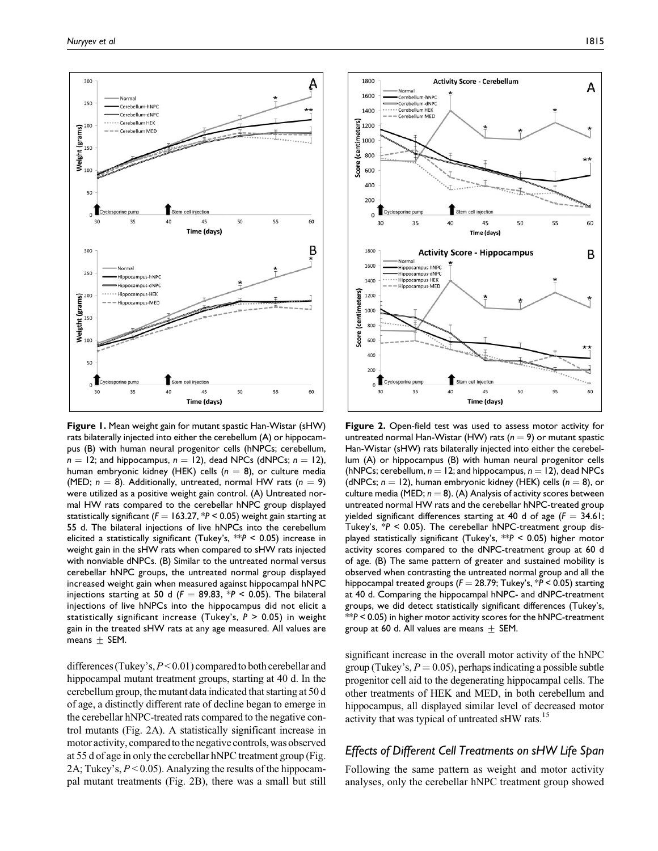

Figure 1. Mean weight gain for mutant spastic Han-Wistar (sHW) rats bilaterally injected into either the cerebellum (A) or hippocampus (B) with human neural progenitor cells (hNPCs; cerebellum,  $n = 12$ ; and hippocampus,  $n = 12$ ), dead NPCs (dNPCs;  $n = 12$ ), human embryonic kidney (HEK) cells ( $n = 8$ ), or culture media (MED;  $n = 8$ ). Additionally, untreated, normal HW rats ( $n = 9$ ) were utilized as a positive weight gain control. (A) Untreated normal HW rats compared to the cerebellar hNPC group displayed statistically significant ( $F = 163.27$ , \*P < 0.05) weight gain starting at 55 d. The bilateral injections of live hNPCs into the cerebellum elicited a statistically significant (Tukey's,  $**P < 0.05$ ) increase in weight gain in the sHW rats when compared to sHW rats injected with nonviable dNPCs. (B) Similar to the untreated normal versus cerebellar hNPC groups, the untreated normal group displayed increased weight gain when measured against hippocampal hNPC injections starting at 50 d ( $F = 89.83$ , \*P < 0.05). The bilateral injections of live hNPCs into the hippocampus did not elicit a statistically significant increase (Tukey's,  $P > 0.05$ ) in weight gain in the treated sHW rats at any age measured. All values are means  $\pm$  SEM.

differences (Tukey's,  $P < 0.01$ ) compared to both cerebellar and hippocampal mutant treatment groups, starting at 40 d. In the cerebellum group, the mutant data indicated that starting at 50 d of age, a distinctly different rate of decline began to emerge in the cerebellar hNPC-treated rats compared to the negative control mutants (Fig. 2A). A statistically significant increase in motor activity, compared to the negative controls, was observed at 55 d of age in only the cerebellar hNPC treatment group (Fig. 2A; Tukey's,  $P < 0.05$ ). Analyzing the results of the hippocampal mutant treatments (Fig. 2B), there was a small but still



Figure 2. Open-field test was used to assess motor activity for untreated normal Han-Wistar (HW) rats ( $n = 9$ ) or mutant spastic Han-Wistar (sHW) rats bilaterally injected into either the cerebellum (A) or hippocampus (B) with human neural progenitor cells (hNPCs; cerebellum,  $n = 12$ ; and hippocampus,  $n = 12$ ), dead NPCs (dNPCs;  $n = 12$ ), human embryonic kidney (HEK) cells ( $n = 8$ ), or culture media (MED;  $n = 8$ ). (A) Analysis of activity scores between untreated normal HW rats and the cerebellar hNPC-treated group yielded significant differences starting at 40 d of age  $(F = 34.61;$ Tukey's,  $*P < 0.05$ ). The cerebellar hNPC-treatment group displayed statistically significant (Tukey's,  $*P < 0.05$ ) higher motor activity scores compared to the dNPC-treatment group at 60 d of age. (B) The same pattern of greater and sustained mobility is observed when contrasting the untreated normal group and all the hippocampal treated groups ( $F = 28.79$ ; Tukey's,  $*P < 0.05$ ) starting at 40 d. Comparing the hippocampal hNPC- and dNPC-treatment groups, we did detect statistically significant differences (Tukey's,  $**P < 0.05$ ) in higher motor activity scores for the <code>hNPC-treatment</code> group at 60 d. All values are means  $\pm$  SEM.

significant increase in the overall motor activity of the hNPC group (Tukey's,  $P = 0.05$ ), perhaps indicating a possible subtle progenitor cell aid to the degenerating hippocampal cells. The other treatments of HEK and MED, in both cerebellum and hippocampus, all displayed similar level of decreased motor activity that was typical of untreated sHW rats.<sup>15</sup>

# Effects of Different Cell Treatments on sHW Life Span

Following the same pattern as weight and motor activity analyses, only the cerebellar hNPC treatment group showed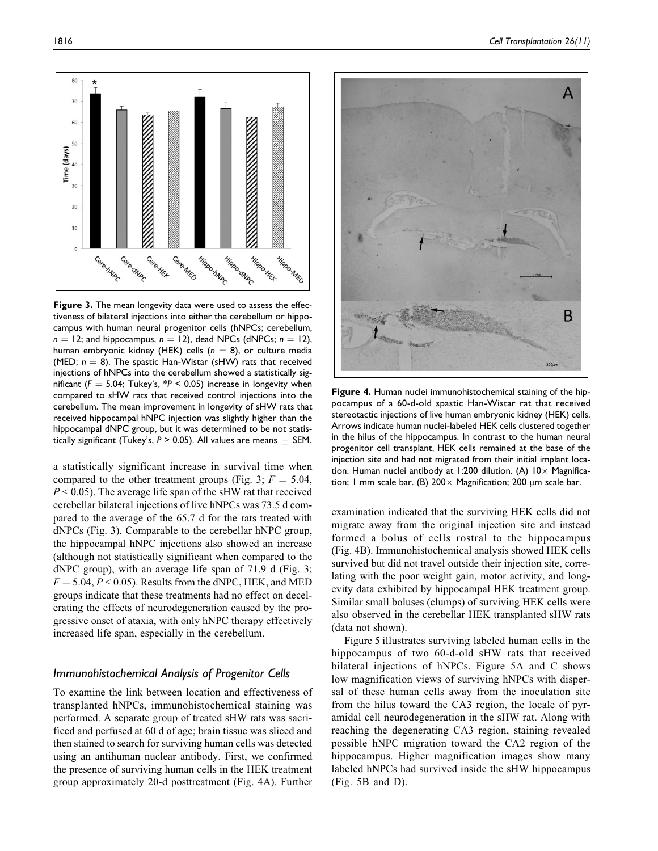tiveness of bilateral injections into either the cerebellum or hippocampus with human neural progenitor cells (hNPCs; cerebellum,  $n = 12$ ; and hippocampus,  $n = 12$ ), dead NPCs (dNPCs;  $n = 12$ ), human embryonic kidney (HEK) cells ( $n = 8$ ), or culture media (MED;  $n = 8$ ). The spastic Han-Wistar (sHW) rats that received injections of hNPCs into the cerebellum showed a statistically significant ( $F = 5.04$ ; Tukey's,  $*P < 0.05$ ) increase in longevity when compared to sHW rats that received control injections into the cerebellum. The mean improvement in longevity of sHW rats that received hippocampal hNPC injection was slightly higher than the hippocampal dNPC group, but it was determined to be not statistically significant (Tukey's,  $P > 0.05$ ). All values are means  $\pm$  SEM.

a statistically significant increase in survival time when compared to the other treatment groups (Fig. 3;  $F = 5.04$ ,  $P < 0.05$ ). The average life span of the sHW rat that received cerebellar bilateral injections of live hNPCs was 73.5 d compared to the average of the 65.7 d for the rats treated with dNPCs (Fig. 3). Comparable to the cerebellar hNPC group, the hippocampal hNPC injections also showed an increase (although not statistically significant when compared to the dNPC group), with an average life span of 71.9 d (Fig. 3;  $F = 5.04, P < 0.05$ . Results from the dNPC, HEK, and MED groups indicate that these treatments had no effect on decelerating the effects of neurodegeneration caused by the progressive onset of ataxia, with only hNPC therapy effectively increased life span, especially in the cerebellum.

### Immunohistochemical Analysis of Progenitor Cells

To examine the link between location and effectiveness of transplanted hNPCs, immunohistochemical staining was performed. A separate group of treated sHW rats was sacrificed and perfused at 60 d of age; brain tissue was sliced and then stained to search for surviving human cells was detected using an antihuman nuclear antibody. First, we confirmed the presence of surviving human cells in the HEK treatment group approximately 20-d posttreatment (Fig. 4A). Further

Figure 4. Human nuclei immunohistochemical staining of the hippocampus of a 60-d-old spastic Han-Wistar rat that received stereotactic injections of live human embryonic kidney (HEK) cells. Arrows indicate human nuclei-labeled HEK cells clustered together in the hilus of the hippocampus. In contrast to the human neural progenitor cell transplant, HEK cells remained at the base of the injection site and had not migrated from their initial implant location. Human nuclei antibody at 1:200 dilution. (A)  $10 \times$  Magnification; 1 mm scale bar. (B) 200 $\times$  Magnification; 200  $\mu$ m scale bar.

examination indicated that the surviving HEK cells did not migrate away from the original injection site and instead formed a bolus of cells rostral to the hippocampus (Fig. 4B). Immunohistochemical analysis showed HEK cells survived but did not travel outside their injection site, correlating with the poor weight gain, motor activity, and longevity data exhibited by hippocampal HEK treatment group. Similar small boluses (clumps) of surviving HEK cells were also observed in the cerebellar HEK transplanted sHW rats (data not shown).

Figure 5 illustrates surviving labeled human cells in the hippocampus of two 60-d-old sHW rats that received bilateral injections of hNPCs. Figure 5A and C shows low magnification views of surviving hNPCs with dispersal of these human cells away from the inoculation site from the hilus toward the CA3 region, the locale of pyramidal cell neurodegeneration in the sHW rat. Along with reaching the degenerating CA3 region, staining revealed possible hNPC migration toward the CA2 region of the hippocampus. Higher magnification images show many labeled hNPCs had survived inside the sHW hippocampus (Fig. 5B and D).

А

В

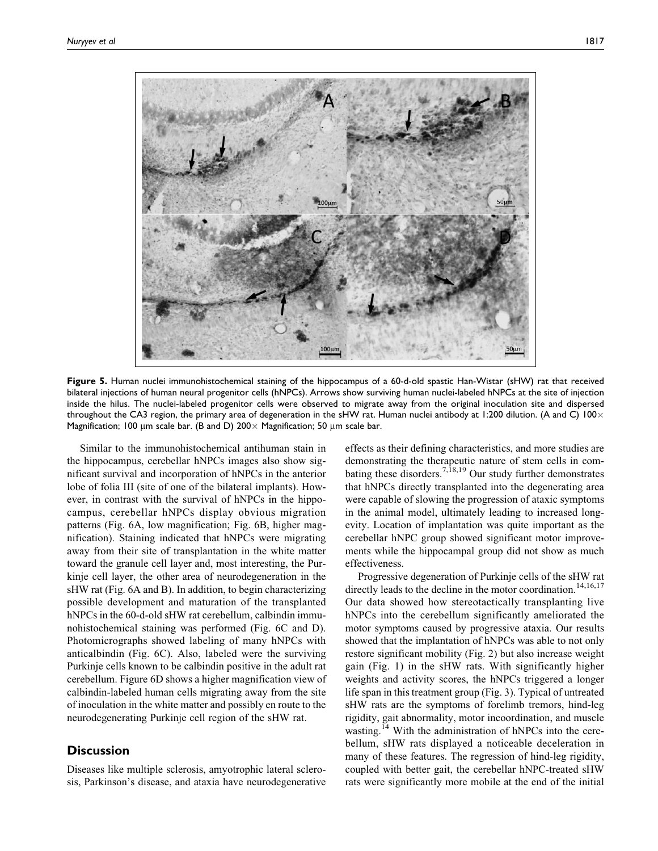

Figure 5. Human nuclei immunohistochemical staining of the hippocampus of a 60-d-old spastic Han-Wistar (sHW) rat that received bilateral injections of human neural progenitor cells (hNPCs). Arrows show surviving human nuclei-labeled hNPCs at the site of injection inside the hilus. The nuclei-labeled progenitor cells were observed to migrate away from the original inoculation site and dispersed throughout the CA3 region, the primary area of degeneration in the sHW rat. Human nuclei antibody at 1:200 dilution. (A and C)  $100 \times$ Magnification; 100  $\mu$ m scale bar. (B and D) 200 $\times$  Magnification; 50  $\mu$ m scale bar.

Similar to the immunohistochemical antihuman stain in the hippocampus, cerebellar hNPCs images also show significant survival and incorporation of hNPCs in the anterior lobe of folia III (site of one of the bilateral implants). However, in contrast with the survival of hNPCs in the hippocampus, cerebellar hNPCs display obvious migration patterns (Fig. 6A, low magnification; Fig. 6B, higher magnification). Staining indicated that hNPCs were migrating away from their site of transplantation in the white matter toward the granule cell layer and, most interesting, the Purkinje cell layer, the other area of neurodegeneration in the sHW rat (Fig. 6A and B). In addition, to begin characterizing possible development and maturation of the transplanted hNPCs in the 60-d-old sHW rat cerebellum, calbindin immunohistochemical staining was performed (Fig. 6C and D). Photomicrographs showed labeling of many hNPCs with anticalbindin (Fig. 6C). Also, labeled were the surviving Purkinje cells known to be calbindin positive in the adult rat cerebellum. Figure 6D shows a higher magnification view of calbindin-labeled human cells migrating away from the site of inoculation in the white matter and possibly en route to the neurodegenerating Purkinje cell region of the sHW rat.

# **Discussion**

Diseases like multiple sclerosis, amyotrophic lateral sclerosis, Parkinson's disease, and ataxia have neurodegenerative

effects as their defining characteristics, and more studies are demonstrating the therapeutic nature of stem cells in combating these disorders.<sup>7,18,19</sup> Our study further demonstrates that hNPCs directly transplanted into the degenerating area were capable of slowing the progression of ataxic symptoms in the animal model, ultimately leading to increased longevity. Location of implantation was quite important as the cerebellar hNPC group showed significant motor improvements while the hippocampal group did not show as much effectiveness.

Progressive degeneration of Purkinje cells of the sHW rat directly leads to the decline in the motor coordination.<sup>14,16,17</sup> Our data showed how stereotactically transplanting live hNPCs into the cerebellum significantly ameliorated the motor symptoms caused by progressive ataxia. Our results showed that the implantation of hNPCs was able to not only restore significant mobility (Fig. 2) but also increase weight gain (Fig. 1) in the sHW rats. With significantly higher weights and activity scores, the hNPCs triggered a longer life span in this treatment group (Fig. 3). Typical of untreated sHW rats are the symptoms of forelimb tremors, hind-leg rigidity, gait abnormality, motor incoordination, and muscle wasting.<sup>14</sup> With the administration of hNPCs into the cerebellum, sHW rats displayed a noticeable deceleration in many of these features. The regression of hind-leg rigidity, coupled with better gait, the cerebellar hNPC-treated sHW rats were significantly more mobile at the end of the initial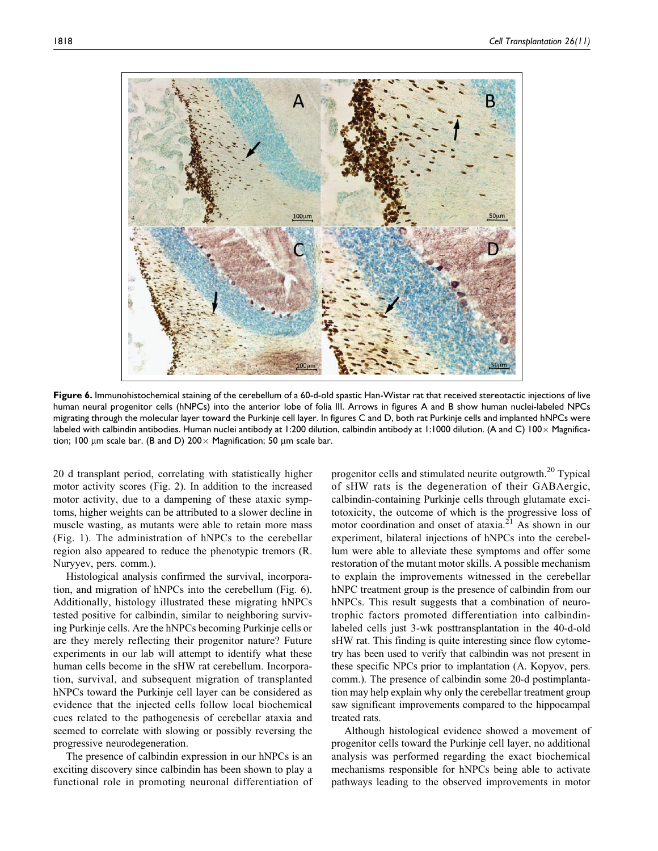

Figure 6. Immunohistochemical staining of the cerebellum of a 60-d-old spastic Han-Wistar rat that received stereotactic injections of live human neural progenitor cells (hNPCs) into the anterior lobe of folia III. Arrows in figures A and B show human nuclei-labeled NPCs migrating through the molecular layer toward the Purkinje cell layer. In figures C and D, both rat Purkinje cells and implanted hNPCs were labeled with calbindin antibodies. Human nuclei antibody at 1:200 dilution, calbindin antibody at 1:1000 dilution. (A and C) 100 × Magnification; 100  $\mu$ m scale bar. (B and D) 200  $\times$  Magnification; 50  $\mu$ m scale bar.

20 d transplant period, correlating with statistically higher motor activity scores (Fig. 2). In addition to the increased motor activity, due to a dampening of these ataxic symptoms, higher weights can be attributed to a slower decline in muscle wasting, as mutants were able to retain more mass (Fig. 1). The administration of hNPCs to the cerebellar region also appeared to reduce the phenotypic tremors (R. Nuryyev, pers. comm.).

Histological analysis confirmed the survival, incorporation, and migration of hNPCs into the cerebellum (Fig. 6). Additionally, histology illustrated these migrating hNPCs tested positive for calbindin, similar to neighboring surviving Purkinje cells. Are the hNPCs becoming Purkinje cells or are they merely reflecting their progenitor nature? Future experiments in our lab will attempt to identify what these human cells become in the sHW rat cerebellum. Incorporation, survival, and subsequent migration of transplanted hNPCs toward the Purkinje cell layer can be considered as evidence that the injected cells follow local biochemical cues related to the pathogenesis of cerebellar ataxia and seemed to correlate with slowing or possibly reversing the progressive neurodegeneration.

The presence of calbindin expression in our hNPCs is an exciting discovery since calbindin has been shown to play a functional role in promoting neuronal differentiation of progenitor cells and stimulated neurite outgrowth.<sup>20</sup> Typical of sHW rats is the degeneration of their GABAergic, calbindin-containing Purkinje cells through glutamate excitotoxicity, the outcome of which is the progressive loss of motor coordination and onset of ataxia.<sup>21</sup> As shown in our experiment, bilateral injections of hNPCs into the cerebellum were able to alleviate these symptoms and offer some restoration of the mutant motor skills. A possible mechanism to explain the improvements witnessed in the cerebellar hNPC treatment group is the presence of calbindin from our hNPCs. This result suggests that a combination of neurotrophic factors promoted differentiation into calbindinlabeled cells just 3-wk posttransplantation in the 40-d-old sHW rat. This finding is quite interesting since flow cytometry has been used to verify that calbindin was not present in these specific NPCs prior to implantation (A. Kopyov, pers. comm.). The presence of calbindin some 20-d postimplantation may help explain why only the cerebellar treatment group saw significant improvements compared to the hippocampal treated rats.

Although histological evidence showed a movement of progenitor cells toward the Purkinje cell layer, no additional analysis was performed regarding the exact biochemical mechanisms responsible for hNPCs being able to activate pathways leading to the observed improvements in motor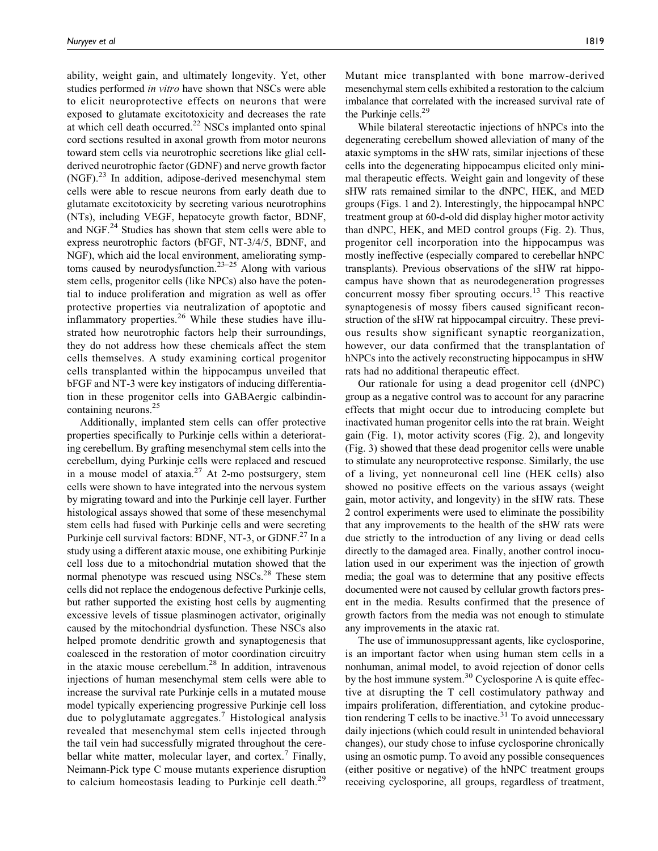ability, weight gain, and ultimately longevity. Yet, other studies performed in vitro have shown that NSCs were able to elicit neuroprotective effects on neurons that were exposed to glutamate excitotoxicity and decreases the rate at which cell death occurred.<sup>22</sup> NSCs implanted onto spinal cord sections resulted in axonal growth from motor neurons toward stem cells via neurotrophic secretions like glial cellderived neurotrophic factor (GDNF) and nerve growth factor  $(NGF).<sup>23</sup>$  In addition, adipose-derived mesenchymal stem cells were able to rescue neurons from early death due to glutamate excitotoxicity by secreting various neurotrophins (NTs), including VEGF, hepatocyte growth factor, BDNF, and NGF. $^{24}$  Studies has shown that stem cells were able to express neurotrophic factors (bFGF, NT-3/4/5, BDNF, and NGF), which aid the local environment, ameliorating symptoms caused by neurodysfunction.<sup>23–25</sup> Along with various stem cells, progenitor cells (like NPCs) also have the potential to induce proliferation and migration as well as offer protective properties via neutralization of apoptotic and inflammatory properties. $26$  While these studies have illustrated how neurotrophic factors help their surroundings, they do not address how these chemicals affect the stem cells themselves. A study examining cortical progenitor cells transplanted within the hippocampus unveiled that bFGF and NT-3 were key instigators of inducing differentiation in these progenitor cells into GABAergic calbindincontaining neurons.25

Additionally, implanted stem cells can offer protective properties specifically to Purkinje cells within a deteriorating cerebellum. By grafting mesenchymal stem cells into the cerebellum, dying Purkinje cells were replaced and rescued in a mouse model of ataxia.<sup>27</sup> At 2-mo postsurgery, stem cells were shown to have integrated into the nervous system by migrating toward and into the Purkinje cell layer. Further histological assays showed that some of these mesenchymal stem cells had fused with Purkinje cells and were secreting Purkinje cell survival factors: BDNF, NT-3, or GDNF.<sup>27</sup> In a study using a different ataxic mouse, one exhibiting Purkinje cell loss due to a mitochondrial mutation showed that the normal phenotype was rescued using  $NSCs<sup>28</sup>$ . These stem cells did not replace the endogenous defective Purkinje cells, but rather supported the existing host cells by augmenting excessive levels of tissue plasminogen activator, originally caused by the mitochondrial dysfunction. These NSCs also helped promote dendritic growth and synaptogenesis that coalesced in the restoration of motor coordination circuitry in the ataxic mouse cerebellum.<sup>28</sup> In addition, intravenous injections of human mesenchymal stem cells were able to increase the survival rate Purkinje cells in a mutated mouse model typically experiencing progressive Purkinje cell loss due to polyglutamate aggregates.<sup>7</sup> Histological analysis revealed that mesenchymal stem cells injected through the tail vein had successfully migrated throughout the cerebellar white matter, molecular layer, and cortex.<sup>7</sup> Finally, Neimann-Pick type C mouse mutants experience disruption to calcium homeostasis leading to Purkinje cell death.<sup>29</sup>

Mutant mice transplanted with bone marrow-derived mesenchymal stem cells exhibited a restoration to the calcium imbalance that correlated with the increased survival rate of the Purkinje cells.<sup>29</sup>

While bilateral stereotactic injections of hNPCs into the degenerating cerebellum showed alleviation of many of the ataxic symptoms in the sHW rats, similar injections of these cells into the degenerating hippocampus elicited only minimal therapeutic effects. Weight gain and longevity of these sHW rats remained similar to the dNPC, HEK, and MED groups (Figs. 1 and 2). Interestingly, the hippocampal hNPC treatment group at 60-d-old did display higher motor activity than dNPC, HEK, and MED control groups (Fig. 2). Thus, progenitor cell incorporation into the hippocampus was mostly ineffective (especially compared to cerebellar hNPC transplants). Previous observations of the sHW rat hippocampus have shown that as neurodegeneration progresses concurrent mossy fiber sprouting occurs.<sup>13</sup> This reactive synaptogenesis of mossy fibers caused significant reconstruction of the sHW rat hippocampal circuitry. These previous results show significant synaptic reorganization, however, our data confirmed that the transplantation of hNPCs into the actively reconstructing hippocampus in sHW rats had no additional therapeutic effect.

Our rationale for using a dead progenitor cell (dNPC) group as a negative control was to account for any paracrine effects that might occur due to introducing complete but inactivated human progenitor cells into the rat brain. Weight gain (Fig. 1), motor activity scores (Fig. 2), and longevity (Fig. 3) showed that these dead progenitor cells were unable to stimulate any neuroprotective response. Similarly, the use of a living, yet nonneuronal cell line (HEK cells) also showed no positive effects on the various assays (weight gain, motor activity, and longevity) in the sHW rats. These 2 control experiments were used to eliminate the possibility that any improvements to the health of the sHW rats were due strictly to the introduction of any living or dead cells directly to the damaged area. Finally, another control inoculation used in our experiment was the injection of growth media; the goal was to determine that any positive effects documented were not caused by cellular growth factors present in the media. Results confirmed that the presence of growth factors from the media was not enough to stimulate any improvements in the ataxic rat.

The use of immunosuppressant agents, like cyclosporine, is an important factor when using human stem cells in a nonhuman, animal model, to avoid rejection of donor cells by the host immune system.<sup>30</sup> Cyclosporine A is quite effective at disrupting the T cell costimulatory pathway and impairs proliferation, differentiation, and cytokine production rendering  $T$  cells to be inactive.<sup>31</sup> To avoid unnecessary daily injections (which could result in unintended behavioral changes), our study chose to infuse cyclosporine chronically using an osmotic pump. To avoid any possible consequences (either positive or negative) of the hNPC treatment groups receiving cyclosporine, all groups, regardless of treatment,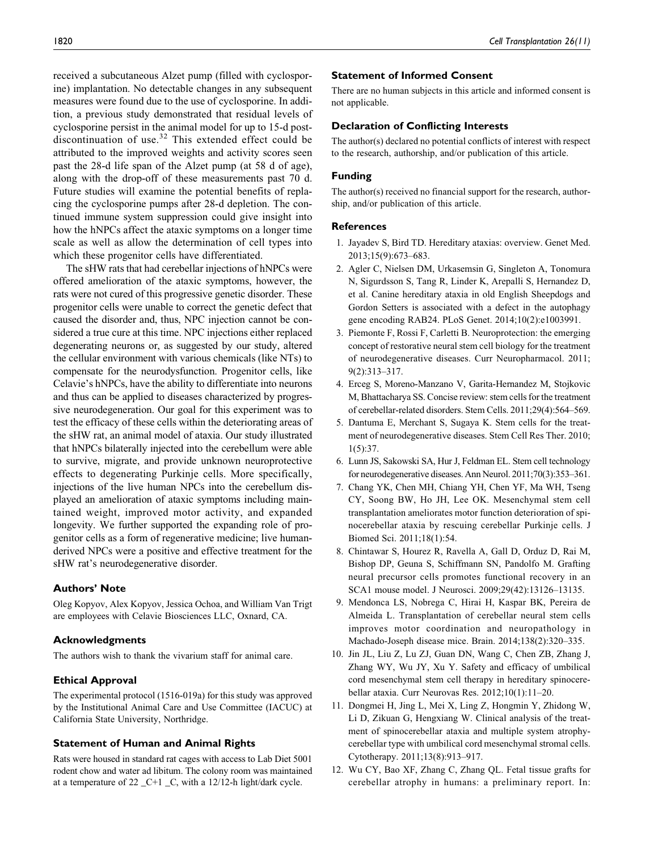received a subcutaneous Alzet pump (filled with cyclosporine) implantation. No detectable changes in any subsequent measures were found due to the use of cyclosporine. In addition, a previous study demonstrated that residual levels of cyclosporine persist in the animal model for up to 15-d postdiscontinuation of use. $32$  This extended effect could be attributed to the improved weights and activity scores seen past the 28-d life span of the Alzet pump (at 58 d of age), along with the drop-off of these measurements past 70 d. Future studies will examine the potential benefits of replacing the cyclosporine pumps after 28-d depletion. The continued immune system suppression could give insight into how the hNPCs affect the ataxic symptoms on a longer time scale as well as allow the determination of cell types into which these progenitor cells have differentiated.

The sHW rats that had cerebellar injections of hNPCs were offered amelioration of the ataxic symptoms, however, the rats were not cured of this progressive genetic disorder. These progenitor cells were unable to correct the genetic defect that caused the disorder and, thus, NPC injection cannot be considered a true cure at this time. NPC injections either replaced degenerating neurons or, as suggested by our study, altered the cellular environment with various chemicals (like NTs) to compensate for the neurodysfunction. Progenitor cells, like Celavie's hNPCs, have the ability to differentiate into neurons and thus can be applied to diseases characterized by progressive neurodegeneration. Our goal for this experiment was to test the efficacy of these cells within the deteriorating areas of the sHW rat, an animal model of ataxia. Our study illustrated that hNPCs bilaterally injected into the cerebellum were able to survive, migrate, and provide unknown neuroprotective effects to degenerating Purkinje cells. More specifically, injections of the live human NPCs into the cerebellum displayed an amelioration of ataxic symptoms including maintained weight, improved motor activity, and expanded longevity. We further supported the expanding role of progenitor cells as a form of regenerative medicine; live humanderived NPCs were a positive and effective treatment for the sHW rat's neurodegenerative disorder.

#### Authors' Note

Oleg Kopyov, Alex Kopyov, Jessica Ochoa, and William Van Trigt are employees with Celavie Biosciences LLC, Oxnard, CA.

#### Acknowledgments

The authors wish to thank the vivarium staff for animal care.

### Ethical Approval

The experimental protocol (1516-019a) for this study was approved by the Institutional Animal Care and Use Committee (IACUC) at California State University, Northridge.

#### Statement of Human and Animal Rights

Rats were housed in standard rat cages with access to Lab Diet 5001 rodent chow and water ad libitum. The colony room was maintained at a temperature of 22 \_C+1 \_C, with a 12/12-h light/dark cycle.

#### Statement of Informed Consent

There are no human subjects in this article and informed consent is not applicable.

#### Declaration of Conflicting Interests

The author(s) declared no potential conflicts of interest with respect to the research, authorship, and/or publication of this article.

### Funding

The author(s) received no financial support for the research, authorship, and/or publication of this article.

#### References

- 1. Jayadev S, Bird TD. Hereditary ataxias: overview. Genet Med. 2013;15(9):673–683.
- 2. Agler C, Nielsen DM, Urkasemsin G, Singleton A, Tonomura N, Sigurdsson S, Tang R, Linder K, Arepalli S, Hernandez D, et al. Canine hereditary ataxia in old English Sheepdogs and Gordon Setters is associated with a defect in the autophagy gene encoding RAB24. PLoS Genet. 2014;10(2):e1003991.
- 3. Piemonte F, Rossi F, Carletti B. Neuroprotection: the emerging concept of restorative neural stem cell biology for the treatment of neurodegenerative diseases. Curr Neuropharmacol. 2011; 9(2):313–317.
- 4. Erceg S, Moreno-Manzano V, Garita-Hernandez M, Stojkovic M, Bhattacharya SS. Concise review: stem cells for the treatment of cerebellar-related disorders. Stem Cells. 2011;29(4):564–569.
- 5. Dantuma E, Merchant S, Sugaya K. Stem cells for the treatment of neurodegenerative diseases. Stem Cell Res Ther. 2010; 1(5):37.
- 6. Lunn JS, Sakowski SA, Hur J, Feldman EL. Stem cell technology for neurodegenerative diseases. Ann Neurol. 2011;70(3):353–361.
- 7. Chang YK, Chen MH, Chiang YH, Chen YF, Ma WH, Tseng CY, Soong BW, Ho JH, Lee OK. Mesenchymal stem cell transplantation ameliorates motor function deterioration of spinocerebellar ataxia by rescuing cerebellar Purkinje cells. J Biomed Sci. 2011;18(1):54.
- 8. Chintawar S, Hourez R, Ravella A, Gall D, Orduz D, Rai M, Bishop DP, Geuna S, Schiffmann SN, Pandolfo M. Grafting neural precursor cells promotes functional recovery in an SCA1 mouse model. J Neurosci. 2009;29(42):13126–13135.
- 9. Mendonca LS, Nobrega C, Hirai H, Kaspar BK, Pereira de Almeida L. Transplantation of cerebellar neural stem cells improves motor coordination and neuropathology in Machado-Joseph disease mice. Brain. 2014;138(2):320–335.
- 10. Jin JL, Liu Z, Lu ZJ, Guan DN, Wang C, Chen ZB, Zhang J, Zhang WY, Wu JY, Xu Y. Safety and efficacy of umbilical cord mesenchymal stem cell therapy in hereditary spinocerebellar ataxia. Curr Neurovas Res. 2012;10(1):11–20.
- 11. Dongmei H, Jing L, Mei X, Ling Z, Hongmin Y, Zhidong W, Li D, Zikuan G, Hengxiang W. Clinical analysis of the treatment of spinocerebellar ataxia and multiple system atrophycerebellar type with umbilical cord mesenchymal stromal cells. Cytotherapy. 2011;13(8):913–917.
- 12. Wu CY, Bao XF, Zhang C, Zhang QL. Fetal tissue grafts for cerebellar atrophy in humans: a preliminary report. In: